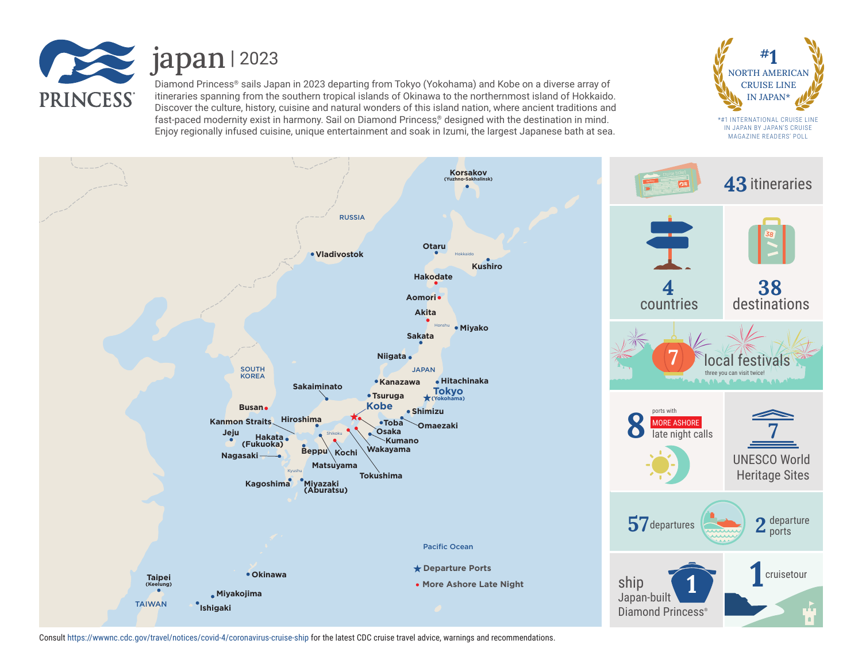

 $\le$  japan | 2023

Diamond Princess® sails Japan in 2023 departing from Tokyo (Yokohama) and Kobe on a diverse array of itineraries spanning from the southern tropical islands of Okinawa to the northernmost island of Hokkaido. Discover the culture, history, cuisine and natural wonders of this island nation, where ancient traditions and fast-paced modernity exist in harmony. Sail on Diamond Princess,<sup>®</sup> designed with the destination in mind. Enjoy regionally infused cuisine, unique entertainment and soak in Izumi, the largest Japanese bath at sea.



\*#1 INTERNATIONAL CRUISE LINE IN JAPAN BY JAPAN'S CRUISE MAGAZINE READERS' POLL



Consult https://wwwnc.cdc.gov/travel/notices/covid-4/coronavirus-cruise-ship for the latest CDC cruise travel advice, warnings and recommendations.